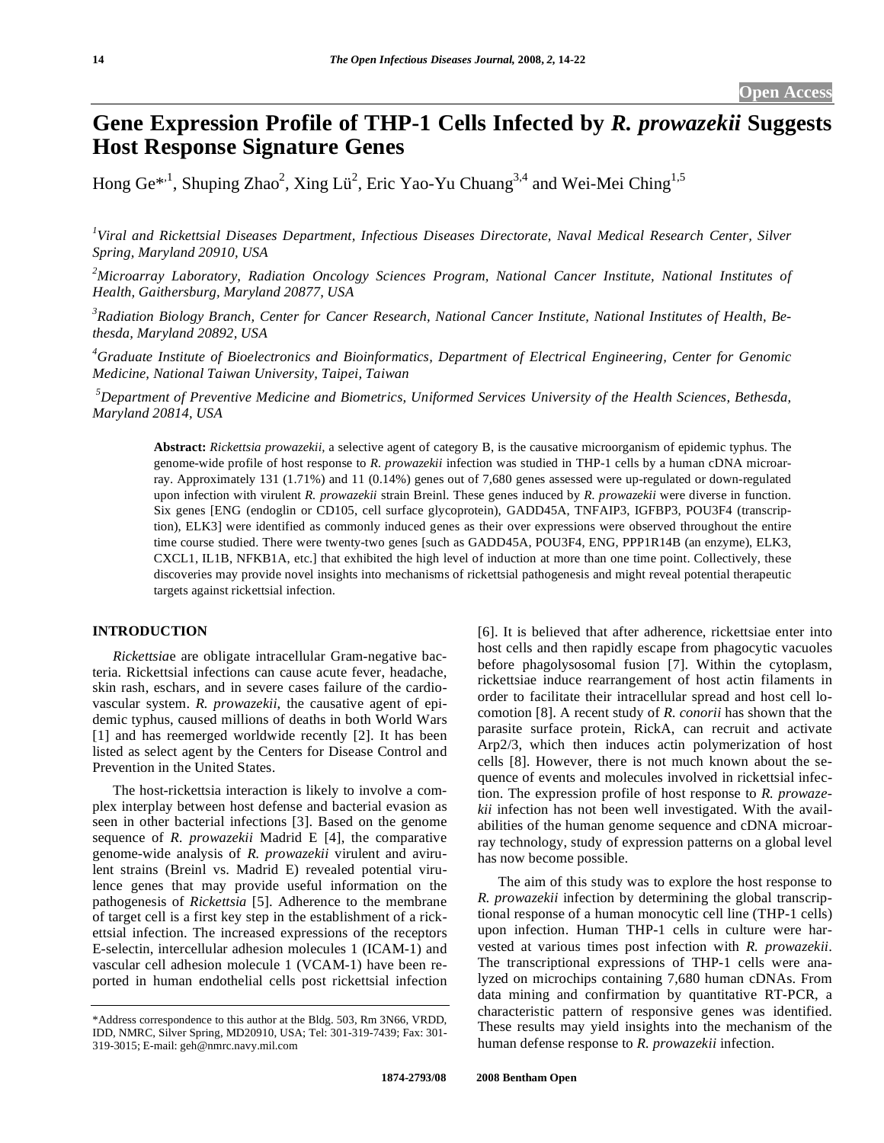# **Gene Expression Profile of THP-1 Cells Infected by** *R. prowazekii* **Suggests Host Response Signature Genes**

Hong Ge<sup>\*,1</sup>, Shuping Zhao<sup>2</sup>, Xing Lü<sup>2</sup>, Eric Yao-Yu Chuang<sup>3,4</sup> and Wei-Mei Ching<sup>1,5</sup>

*1 Viral and Rickettsial Diseases Department, Infectious Diseases Directorate, Naval Medical Research Center, Silver Spring, Maryland 20910, USA* 

*2 Microarray Laboratory, Radiation Oncology Sciences Program, National Cancer Institute, National Institutes of Health, Gaithersburg, Maryland 20877, USA* 

*3 Radiation Biology Branch, Center for Cancer Research, National Cancer Institute, National Institutes of Health, Bethesda, Maryland 20892, USA* 

*4 Graduate Institute of Bioelectronics and Bioinformatics, Department of Electrical Engineering, Center for Genomic Medicine, National Taiwan University, Taipei, Taiwan* 

*5 Department of Preventive Medicine and Biometrics, Uniformed Services University of the Health Sciences, Bethesda, Maryland 20814, USA* 

**Abstract:** *Rickettsia prowazekii,* a selective agent of category B, is the causative microorganism of epidemic typhus. The genome-wide profile of host response to *R. prowazekii* infection was studied in THP-1 cells by a human cDNA microarray. Approximately 131 (1.71%) and 11 (0.14%) genes out of 7,680 genes assessed were up-regulated or down-regulated upon infection with virulent *R. prowazekii* strain Breinl. These genes induced by *R. prowazekii* were diverse in function. Six genes [ENG (endoglin or CD105, cell surface glycoprotein), GADD45A, TNFAIP3, IGFBP3, POU3F4 (transcription), ELK3] were identified as commonly induced genes as their over expressions were observed throughout the entire time course studied. There were twenty-two genes [such as GADD45A, POU3F4, ENG, PPP1R14B (an enzyme), ELK3, CXCL1, IL1B, NFKB1A, etc.] that exhibited the high level of induction at more than one time point. Collectively, these discoveries may provide novel insights into mechanisms of rickettsial pathogenesis and might reveal potential therapeutic targets against rickettsial infection.

# **INTRODUCTION**

 *Rickettsia*e are obligate intracellular Gram-negative bacteria. Rickettsial infections can cause acute fever, headache, skin rash, eschars, and in severe cases failure of the cardiovascular system. *R. prowazekii*, the causative agent of epidemic typhus, caused millions of deaths in both World Wars [1] and has reemerged worldwide recently [2]. It has been listed as select agent by the Centers for Disease Control and Prevention in the United States.

 The host-rickettsia interaction is likely to involve a complex interplay between host defense and bacterial evasion as seen in other bacterial infections [3]. Based on the genome sequence of *R. prowazekii* Madrid E [4], the comparative genome-wide analysis of *R. prowazekii* virulent and avirulent strains (Breinl vs. Madrid E) revealed potential virulence genes that may provide useful information on the pathogenesis of *Rickettsia* [5]. Adherence to the membrane of target cell is a first key step in the establishment of a rickettsial infection. The increased expressions of the receptors E-selectin, intercellular adhesion molecules 1 (ICAM-1) and vascular cell adhesion molecule 1 (VCAM-1) have been reported in human endothelial cells post rickettsial infection

[6]. It is believed that after adherence, rickettsiae enter into host cells and then rapidly escape from phagocytic vacuoles before phagolysosomal fusion [7]. Within the cytoplasm, rickettsiae induce rearrangement of host actin filaments in order to facilitate their intracellular spread and host cell locomotion [8]. A recent study of *R. conorii* has shown that the parasite surface protein, RickA, can recruit and activate Arp2/3, which then induces actin polymerization of host cells [8]. However, there is not much known about the sequence of events and molecules involved in rickettsial infection. The expression profile of host response to *R. prowazekii* infection has not been well investigated. With the availabilities of the human genome sequence and cDNA microarray technology, study of expression patterns on a global level has now become possible.

 The aim of this study was to explore the host response to *R. prowazekii* infection by determining the global transcriptional response of a human monocytic cell line (THP-1 cells) upon infection. Human THP-1 cells in culture were harvested at various times post infection with *R. prowazekii*. The transcriptional expressions of THP-1 cells were analyzed on microchips containing 7,680 human cDNAs. From data mining and confirmation by quantitative RT-PCR, a characteristic pattern of responsive genes was identified. These results may yield insights into the mechanism of the human defense response to *R. prowazekii* infection.

<sup>\*</sup>Address correspondence to this author at the Bldg. 503, Rm 3N66, VRDD, IDD, NMRC, Silver Spring, MD20910, USA; Tel: 301-319-7439; Fax: 301- 319-3015; E-mail: geh@nmrc.navy.mil.com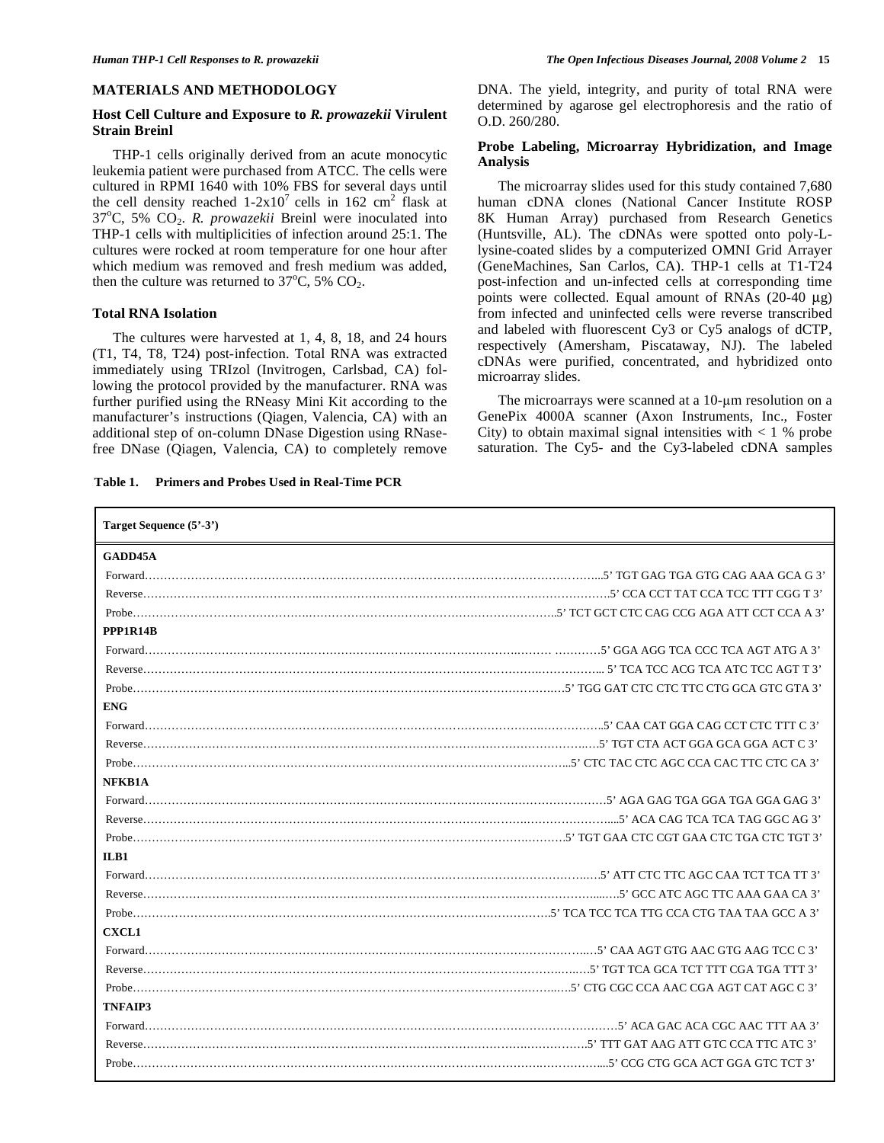#### **MATERIALS AND METHODOLOGY**

# **Host Cell Culture and Exposure to** *R. prowazekii* **Virulent Strain Breinl**

 THP-1 cells originally derived from an acute monocytic leukemia patient were purchased from ATCC. The cells were cultured in RPMI 1640 with 10% FBS for several days until the cell density reached  $1-2x10^7$  cells in 162 cm<sup>2</sup> flask at 37°C, 5% CO<sub>2</sub>. *R. prowazekii* Breinl were inoculated into THP-1 cells with multiplicities of infection around 25:1. The cultures were rocked at room temperature for one hour after which medium was removed and fresh medium was added, then the culture was returned to  $37^{\circ}$ C, 5% CO<sub>2</sub>.

# **Total RNA Isolation**

 The cultures were harvested at 1, 4, 8, 18, and 24 hours (T1, T4, T8, T24) post-infection. Total RNA was extracted immediately using TRIzol (Invitrogen, Carlsbad, CA) following the protocol provided by the manufacturer. RNA was further purified using the RNeasy Mini Kit according to the manufacturer's instructions (Qiagen, Valencia, CA) with an additional step of on-column DNase Digestion using RNasefree DNase (Qiagen, Valencia, CA) to completely remove

|  | Table 1. Primers and Probes Used in Real-Time PCR |
|--|---------------------------------------------------|
|  |                                                   |

DNA. The yield, integrity, and purity of total RNA were determined by agarose gel electrophoresis and the ratio of O.D. 260/280.

# **Probe Labeling, Microarray Hybridization, and Image Analysis**

 The microarray slides used for this study contained 7,680 human cDNA clones (National Cancer Institute ROSP 8K Human Array) purchased from Research Genetics (Huntsville, AL). The cDNAs were spotted onto poly-Llysine-coated slides by a computerized OMNI Grid Arrayer (GeneMachines, San Carlos, CA). THP-1 cells at T1-T24 post-infection and un-infected cells at corresponding time points were collected. Equal amount of RNAs (20-40 μg) from infected and uninfected cells were reverse transcribed and labeled with fluorescent Cy3 or Cy5 analogs of dCTP, respectively (Amersham, Piscataway, NJ). The labeled cDNAs were purified, concentrated, and hybridized onto microarray slides.

The microarrays were scanned at a  $10$ - $\mu$ m resolution on a GenePix 4000A scanner (Axon Instruments, Inc., Foster City) to obtain maximal signal intensities with  $< 1$  % probe saturation. The Cy5- and the Cy3-labeled cDNA samples

| Target Sequence (5'-3') |  |
|-------------------------|--|
| GADD45A                 |  |
|                         |  |
|                         |  |
|                         |  |
| PPP1R14B                |  |
|                         |  |
|                         |  |
|                         |  |
| <b>ENG</b>              |  |
|                         |  |
|                         |  |
|                         |  |
| NFKB1A                  |  |
|                         |  |
|                         |  |
|                         |  |
| ILB1                    |  |
|                         |  |
|                         |  |
|                         |  |
| <b>CXCL1</b>            |  |
|                         |  |
|                         |  |
|                         |  |
| TNFAIP3                 |  |
|                         |  |
|                         |  |
|                         |  |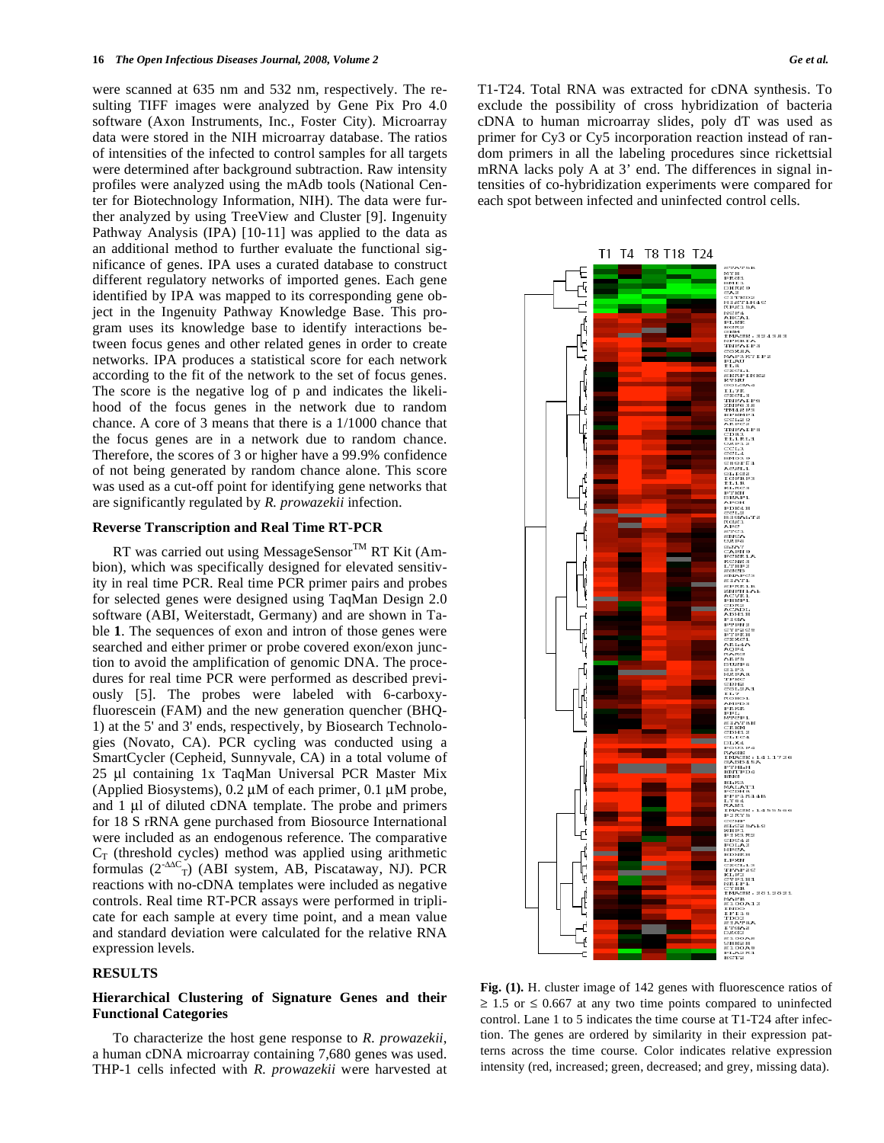were scanned at 635 nm and 532 nm, respectively. The resulting TIFF images were analyzed by Gene Pix Pro 4.0 software (Axon Instruments, Inc., Foster City). Microarray data were stored in the NIH microarray database. The ratios of intensities of the infected to control samples for all targets were determined after background subtraction. Raw intensity profiles were analyzed using the mAdb tools (National Center for Biotechnology Information, NIH). The data were further analyzed by using TreeView and Cluster [9]. Ingenuity Pathway Analysis (IPA) [10-11] was applied to the data as an additional method to further evaluate the functional significance of genes. IPA uses a curated database to construct different regulatory networks of imported genes. Each gene identified by IPA was mapped to its corresponding gene object in the Ingenuity Pathway Knowledge Base. This program uses its knowledge base to identify interactions between focus genes and other related genes in order to create networks. IPA produces a statistical score for each network according to the fit of the network to the set of focus genes. The score is the negative log of p and indicates the likelihood of the focus genes in the network due to random chance. A core of 3 means that there is a 1/1000 chance that the focus genes are in a network due to random chance. Therefore, the scores of 3 or higher have a 99.9% confidence of not being generated by random chance alone. This score was used as a cut-off point for identifying gene networks that are significantly regulated by *R. prowazekii* infection.

#### **Reverse Transcription and Real Time RT-PCR**

RT was carried out using MessageSensor<sup>TM</sup> RT Kit (Ambion), which was specifically designed for elevated sensitivity in real time PCR. Real time PCR primer pairs and probes for selected genes were designed using TaqMan Design 2.0 software (ABI, Weiterstadt, Germany) and are shown in Table **1**. The sequences of exon and intron of those genes were searched and either primer or probe covered exon/exon junction to avoid the amplification of genomic DNA. The procedures for real time PCR were performed as described previously [5]. The probes were labeled with 6-carboxyfluorescein (FAM) and the new generation quencher (BHQ-1) at the 5' and 3' ends, respectively, by Biosearch Technologies (Novato, CA). PCR cycling was conducted using a SmartCycler (Cepheid, Sunnyvale, CA) in a total volume of 25 μl containing 1x TaqMan Universal PCR Master Mix (Applied Biosystems), 0.2 μM of each primer, 0.1 μM probe, and 1 μl of diluted cDNA template. The probe and primers for 18 S rRNA gene purchased from Biosource International were included as an endogenous reference. The comparative  $C_T$  (threshold cycles) method was applied using arithmetic formulas  $(2^{AAC}r)$  (ABI system, AB, Piscataway, NJ). PCR reactions with no-cDNA templates were included as negative controls. Real time RT-PCR assays were performed in triplicate for each sample at every time point, and a mean value and standard deviation were calculated for the relative RNA expression levels.

## **RESULTS**

# **Hierarchical Clustering of Signature Genes and their Functional Categories**

 To characterize the host gene response to *R. prowazekii*, a human cDNA microarray containing 7,680 genes was used. THP-1 cells infected with *R. prowazekii* were harvested at T1-T24. Total RNA was extracted for cDNA synthesis. To exclude the possibility of cross hybridization of bacteria cDNA to human microarray slides, poly dT was used as primer for Cy3 or Cy5 incorporation reaction instead of random primers in all the labeling procedures since rickettsial mRNA lacks poly A at 3' end. The differences in signal intensities of co-hybridization experiments were compared for each spot between infected and uninfected control cells.



**Fig. (1).** H. cluster image of 142 genes with fluorescence ratios of  $\geq$  1.5 or  $\leq$  0.667 at any two time points compared to uninfected control. Lane 1 to 5 indicates the time course at T1-T24 after infection. The genes are ordered by similarity in their expression patterns across the time course. Color indicates relative expression intensity (red, increased; green, decreased; and grey, missing data).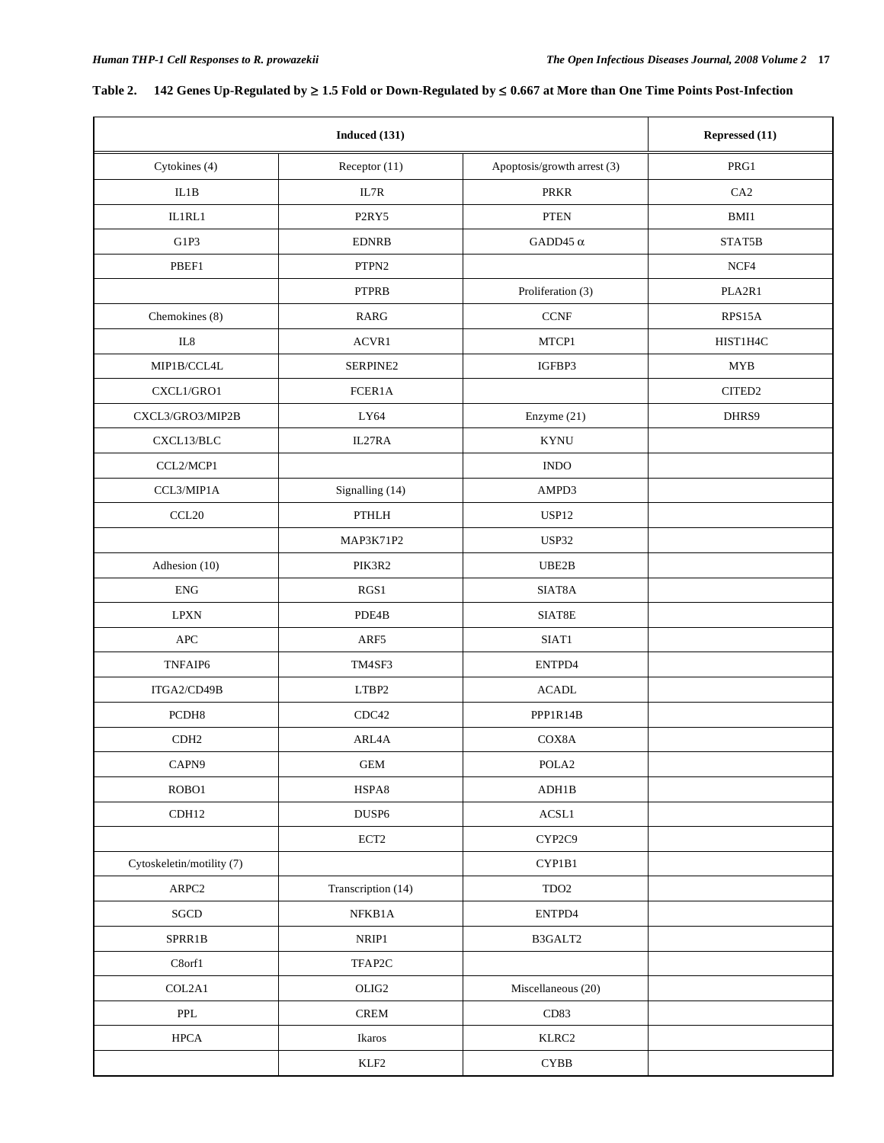#### Table 2. 142 Genes Up-Regulated by ≥ 1.5 Fold or Down-Regulated by ≤ 0.667 at More than One Time Points Post-Infection

|                           | <b>Induced</b> (131)           |                             |                    |  |
|---------------------------|--------------------------------|-----------------------------|--------------------|--|
| Cytokines (4)             | Receptor (11)                  | Apoptosis/growth arrest (3) | $\rm PRG1$         |  |
| IL1B                      | IL7R                           | <b>PRKR</b>                 | CA <sub>2</sub>    |  |
| IL1RL1                    | P <sub>2</sub> RY <sub>5</sub> | PTEN                        | $\mathbf{BMI1}$    |  |
| G1P3                      | <b>EDNRB</b>                   | GADD45 $\alpha$             | STAT5B             |  |
| PBEF1                     | PTPN2                          |                             | $NCF4$             |  |
|                           | <b>PTPRB</b>                   | Proliferation (3)           | PLA2R1             |  |
| Chemokines (8)            | <b>RARG</b>                    | $CCNF$                      | RPS15A             |  |
| IL8                       | ACVR1                          | MTCP1                       | HIST1H4C           |  |
| MIP1B/CCL4L               | SERPINE2                       | IGFBP3                      | <b>MYB</b>         |  |
| CXCL1/GRO1                | FCER1A                         |                             | CITED <sub>2</sub> |  |
| CXCL3/GRO3/MIP2B          | LY64                           | Enzyme (21)                 | DHRS9              |  |
| CXCL13/BLC                | IL27RA                         | <b>KYNU</b>                 |                    |  |
| CCL2/MCP1                 |                                | <b>INDO</b>                 |                    |  |
| CCL3/MIP1A                | Signalling (14)                | AMPD3                       |                    |  |
| CCL <sub>20</sub>         | PTHLH                          | USP12                       |                    |  |
|                           | MAP3K71P2                      | USP32                       |                    |  |
| Adhesion (10)             | PIK3R2                         | UBE2B                       |                    |  |
| ${\rm ENG}$               | RGS1                           | SIAT8A                      |                    |  |
| $\operatorname{LPXN}$     | PDE4B                          | SIAT8E                      |                    |  |
| <b>APC</b>                | ARF5                           | SIAT1                       |                    |  |
| TNFAIP6                   | TM4SF3                         | ENTPD4                      |                    |  |
| ITGA2/CD49B               | LTBP2                          | <b>ACADL</b>                |                    |  |
| PCDH8                     | CDC42                          | PPP1R14B                    |                    |  |
| CDH <sub>2</sub>          | ARL4A                          | COX8A                       |                    |  |
| CAPN9                     | GEM                            | POLA <sub>2</sub>           |                    |  |
| ROBO1                     | HSPA8                          | ADH1B                       |                    |  |
| CDH12                     | DUSP <sub>6</sub>              | $\operatorname{ACSL1}$      |                    |  |
|                           | ECT2                           | CYP2C9                      |                    |  |
| Cytoskeletin/motility (7) |                                | CYP1B1                      |                    |  |
| $\mbox{{\sc ARPC2}}$      | Transcription (14)             | $\rm TDO2$                  |                    |  |
| $SGCD$                    | ${\rm NFKB1A}$                 | ENTPD4                      |                    |  |
| SPRR1B                    | $\ensuremath{\mathsf{NRIP1}}$  | B3GALT2                     |                    |  |
| C8orf1                    | TFAP2C                         |                             |                    |  |
| COL2A1                    | $OLIG2$                        | Miscellaneous (20)          |                    |  |
| PPL                       | $\sf{CREM}$                    | CD83                        |                    |  |
| ${\rm HPCA}$              | Ikaros                         | KLRC2                       |                    |  |
|                           | $\ensuremath{\mathrm{KLF2}}$   | $\mathbf{CYBB}$             |                    |  |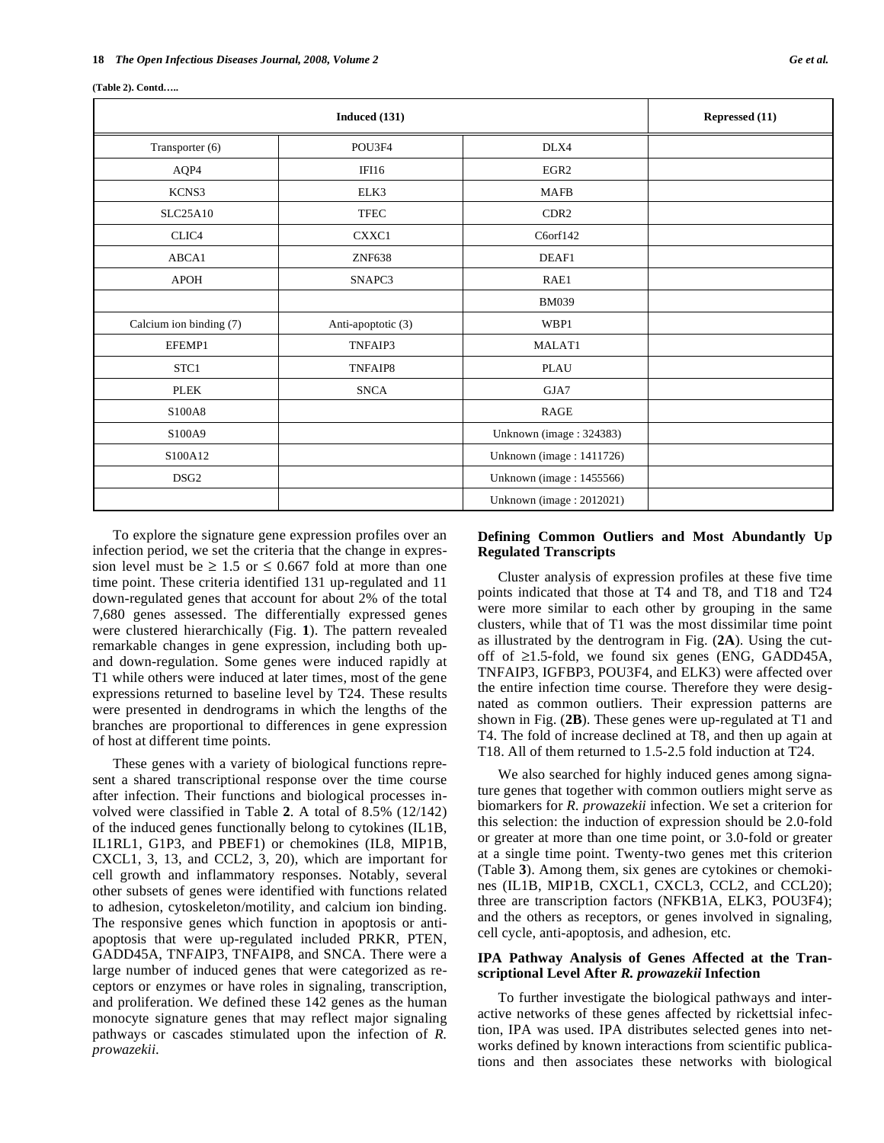|  | (Table 2). Contd |
|--|------------------|
|  |                  |

|                         | Repressed (11)     |                             |  |
|-------------------------|--------------------|-----------------------------|--|
| Transporter (6)         | POU3F4             | DLX4                        |  |
| AQP4                    | IFI16              | EGR <sub>2</sub>            |  |
| KCNS3                   | ELK3               | <b>MAFB</b>                 |  |
| <b>SLC25A10</b>         | <b>TFEC</b>        | CDR <sub>2</sub>            |  |
| CLIC4                   | CXXC1              | C6orf142                    |  |
| ABCA1                   | <b>ZNF638</b>      | DEAF1                       |  |
| <b>APOH</b>             | SNAPC3             | RAE1                        |  |
|                         |                    | <b>BM039</b>                |  |
| Calcium ion binding (7) | Anti-apoptotic (3) | WBP1                        |  |
| EFEMP1                  | TNFAIP3            | MALAT1                      |  |
| STC1                    | TNFAIP8            | PLAU                        |  |
| <b>PLEK</b>             | <b>SNCA</b>        | GJA7                        |  |
| S100A8                  |                    | <b>RAGE</b>                 |  |
| S100A9                  |                    | Unknown (image: 324383)     |  |
| S100A12                 |                    | Unknown (image: $1411726$ ) |  |
| DSG <sub>2</sub>        |                    | Unknown (image: 1455566)    |  |
|                         |                    | Unknown (image: 2012021)    |  |

 To explore the signature gene expression profiles over an infection period, we set the criteria that the change in expression level must be  $\geq 1.5$  or  $\leq 0.667$  fold at more than one time point. These criteria identified 131 up-regulated and 11 down-regulated genes that account for about 2% of the total 7,680 genes assessed. The differentially expressed genes were clustered hierarchically (Fig. **1**). The pattern revealed remarkable changes in gene expression, including both upand down-regulation. Some genes were induced rapidly at T1 while others were induced at later times, most of the gene expressions returned to baseline level by T24. These results were presented in dendrograms in which the lengths of the branches are proportional to differences in gene expression of host at different time points.

 These genes with a variety of biological functions represent a shared transcriptional response over the time course after infection. Their functions and biological processes involved were classified in Table **2**. A total of 8.5% (12/142) of the induced genes functionally belong to cytokines (IL1B, IL1RL1, G1P3, and PBEF1) or chemokines (IL8, MIP1B, CXCL1, 3, 13, and CCL2, 3, 20), which are important for cell growth and inflammatory responses. Notably, several other subsets of genes were identified with functions related to adhesion, cytoskeleton/motility, and calcium ion binding. The responsive genes which function in apoptosis or antiapoptosis that were up-regulated included PRKR, PTEN, GADD45A, TNFAIP3, TNFAIP8, and SNCA. There were a large number of induced genes that were categorized as receptors or enzymes or have roles in signaling, transcription, and proliferation. We defined these 142 genes as the human monocyte signature genes that may reflect major signaling pathways or cascades stimulated upon the infection of *R. prowazekii*.

# **Defining Common Outliers and Most Abundantly Up Regulated Transcripts**

 Cluster analysis of expression profiles at these five time points indicated that those at T4 and T8, and T18 and T24 were more similar to each other by grouping in the same clusters, while that of T1 was the most dissimilar time point as illustrated by the dentrogram in Fig. (**2A**). Using the cutoff of  $\geq$ 1.5-fold, we found six genes (ENG, GADD45A, TNFAIP3, IGFBP3, POU3F4, and ELK3) were affected over the entire infection time course. Therefore they were designated as common outliers. Their expression patterns are shown in Fig. (**2B**). These genes were up-regulated at T1 and T4. The fold of increase declined at T8, and then up again at T18. All of them returned to 1.5-2.5 fold induction at T24.

 We also searched for highly induced genes among signature genes that together with common outliers might serve as biomarkers for *R. prowazekii* infection. We set a criterion for this selection: the induction of expression should be 2.0-fold or greater at more than one time point, or 3.0-fold or greater at a single time point. Twenty-two genes met this criterion (Table **3**). Among them, six genes are cytokines or chemokines (IL1B, MIP1B, CXCL1, CXCL3, CCL2, and CCL20); three are transcription factors (NFKB1A, ELK3, POU3F4); and the others as receptors, or genes involved in signaling, cell cycle, anti-apoptosis, and adhesion, etc.

# **IPA Pathway Analysis of Genes Affected at the Transcriptional Level After** *R. prowazekii* **Infection**

 To further investigate the biological pathways and interactive networks of these genes affected by rickettsial infection, IPA was used. IPA distributes selected genes into networks defined by known interactions from scientific publications and then associates these networks with biological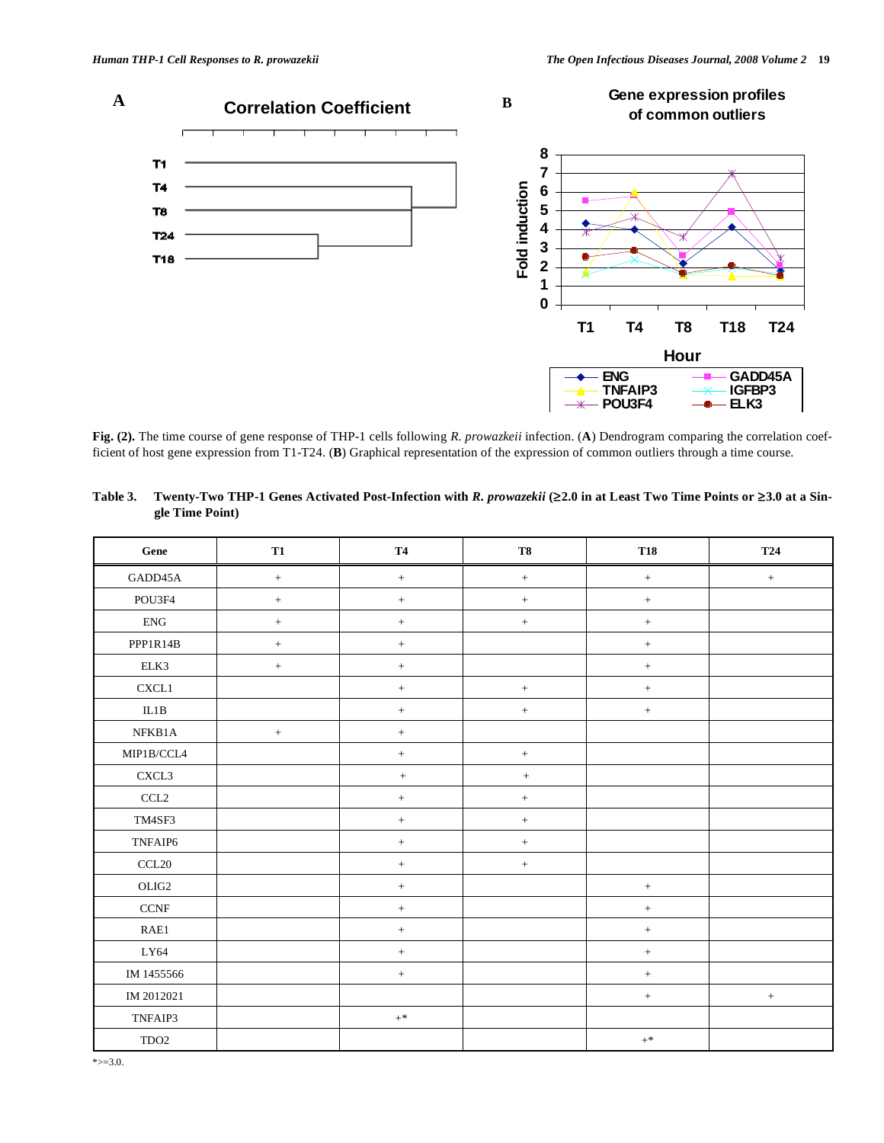

**Fig. (2).** The time course of gene response of THP-1 cells following *R. prowazkeii* infection. (**A**) Dendrogram comparing the correlation coefficient of host gene expression from T1-T24. (**B**) Graphical representation of the expression of common outliers through a time course.

| Gene                               | T1     | <b>T4</b> | <b>T8</b>        | <b>T18</b>        | <b>T24</b>       |
|------------------------------------|--------|-----------|------------------|-------------------|------------------|
| GADD45A                            | $\, +$ | $+$       | $\, +$           | $\! +$            | $\, +$           |
| POU3F4                             | $\, +$ | $+$       | $+$              | $\qquad \qquad +$ |                  |
| ${\rm ENG}$                        | $\! +$ | $\, +$    | $\, +$           | $\! +$            |                  |
| PPP1R14B                           | $\pm$  | $\pm$     |                  | $^+$              |                  |
| ELK3                               | $\! +$ | $+$       |                  | $\qquad \qquad +$ |                  |
| CXCL1                              |        | $+$       | $+$              | $^+$              |                  |
| $\rm IL1B$                         |        | $+$       | $\boldsymbol{+}$ | $^+$              |                  |
| NFKB1A                             | $\, +$ | $\,+\,$   |                  |                   |                  |
| $\text{MIP1B/CCL4}$                |        | $\pm$     | $\boldsymbol{+}$ |                   |                  |
| CXCL3                              |        | $^+$      | $^+$             |                   |                  |
| CCL2                               |        | $+$       | $+$              |                   |                  |
| TM4SF3                             |        | $\, +$    | $\, +$           |                   |                  |
| TNFAIP6                            |        | $\pm$     | $\pm$            |                   |                  |
| $\ensuremath{\text{CCL20}}\xspace$ |        | $\, +$    | $\, +$           |                   |                  |
| OLIG2                              |        | $\, +$    |                  | $^+$              |                  |
| CCNF                               |        | $+$       |                  | $\! +$            |                  |
| RAE1                               |        | $\, +$    |                  | $\qquad \qquad +$ |                  |
| LY64                               |        | $\, +$    |                  | $^+$              |                  |
| IM 1455566                         |        | $\, +$    |                  | $\boldsymbol{+}$  |                  |
| IM 2012021                         |        |           |                  | $\qquad \qquad +$ | $\boldsymbol{+}$ |
| TNFAIP3                            |        | $+$ *     |                  |                   |                  |
| TDO <sub>2</sub>                   |        |           |                  | $+^*$             |                  |

**Table 3. Twenty-Two THP-1 Genes Activated Post-Infection with** *R. prowazekii* **(2.0 in at Least Two Time Points or 3.0 at a Single Time Point)**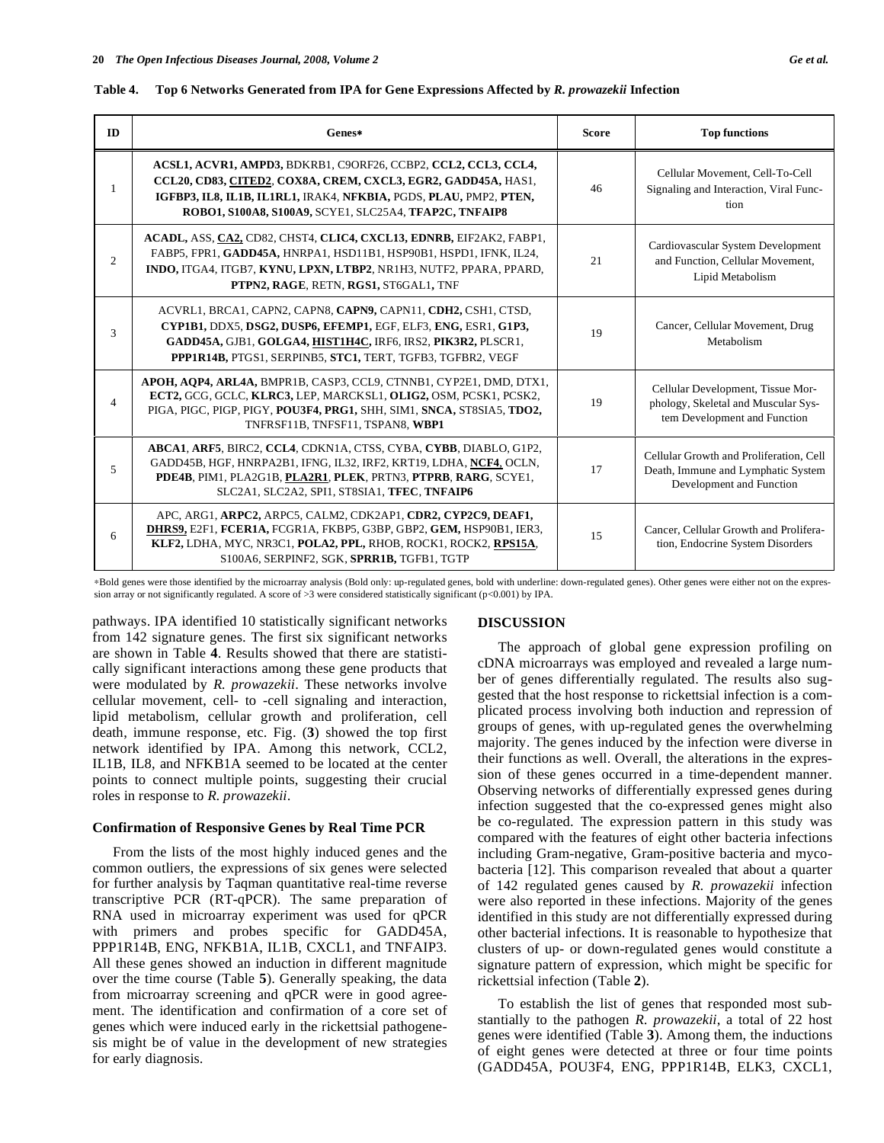| ID | Genes*                                                                                                                                                                                                                                                         | <b>Score</b> | <b>Top functions</b>                                                                                      |
|----|----------------------------------------------------------------------------------------------------------------------------------------------------------------------------------------------------------------------------------------------------------------|--------------|-----------------------------------------------------------------------------------------------------------|
|    | ACSL1, ACVR1, AMPD3, BDKRB1, C9ORF26, CCBP2, CCL2, CCL3, CCL4,<br>CCL20, CD83, CITED2, COX8A, CREM, CXCL3, EGR2, GADD45A, HAS1,<br>IGFBP3, IL8, IL1B, IL1RL1, IRAK4, NFKBIA, PGDS, PLAU, PMP2, PTEN,<br>ROBO1, S100A8, S100A9, SCYE1, SLC25A4, TFAP2C, TNFAIP8 | 46           | Cellular Movement, Cell-To-Cell<br>Signaling and Interaction, Viral Func-<br>tion                         |
| 2  | ACADL, ASS, CA2, CD82, CHST4, CLIC4, CXCL13, EDNRB, EIF2AK2, FABP1,<br>FABP5, FPR1, GADD45A, HNRPA1, HSD11B1, HSP90B1, HSPD1, IFNK, IL24,<br>INDO, ITGA4, ITGB7, KYNU, LPXN, LTBP2, NR1H3, NUTF2, PPARA, PPARD,<br>PTPN2, RAGE, RETN, RGS1, ST6GAL1, TNF       | 21           | Cardiovascular System Development<br>and Function, Cellular Movement,<br>Lipid Metabolism                 |
| 3  | ACVRL1, BRCA1, CAPN2, CAPN8, CAPN9, CAPN11, CDH2, CSH1, CTSD,<br>CYP1B1, DDX5, DSG2, DUSP6, EFEMP1, EGF, ELF3, ENG, ESR1, G1P3,<br>GADD45A, GJB1, GOLGA4, HIST1H4C, IRF6, IRS2, PIK3R2, PLSCR1,<br>PPP1R14B, PTGS1, SERPINB5, STC1, TERT, TGFB3, TGFBR2, VEGF  | 19           | Cancer, Cellular Movement, Drug<br>Metabolism                                                             |
| 4  | APOH, AQP4, ARL4A, BMPR1B, CASP3, CCL9, CTNNB1, CYP2E1, DMD, DTX1,<br>ECT2, GCG, GCLC, KLRC3, LEP, MARCKSL1, OLIG2, OSM, PCSK1, PCSK2,<br>PIGA, PIGC, PIGP, PIGY, POU3F4, PRG1, SHH, SIM1, SNCA, ST8SIA5, TDO2,<br>TNFRSF11B, TNFSF11, TSPAN8, WBP1            | 19           | Cellular Development, Tissue Mor-<br>phology, Skeletal and Muscular Sys-<br>tem Development and Function  |
| 5  | ABCA1, ARF5, BIRC2, CCL4, CDKN1A, CTSS, CYBA, CYBB, DIABLO, G1P2,<br>GADD45B, HGF, HNRPA2B1, IFNG, IL32, IRF2, KRT19, LDHA, NCF4, OCLN,<br>PDE4B, PIM1, PLA2G1B, PLA2R1, PLEK, PRTN3, PTPRB, RARG, SCYE1,<br>SLC2A1, SLC2A2, SPI1, ST8SIA1, TFEC, TNFAIP6      | 17           | Cellular Growth and Proliferation, Cell<br>Death, Immune and Lymphatic System<br>Development and Function |
| 6  | APC, ARG1, ARPC2, ARPC5, CALM2, CDK2AP1, CDR2, CYP2C9, DEAF1,<br>DHRS9, E2F1, FCER1A, FCGR1A, FKBP5, G3BP, GBP2, GEM, HSP90B1, IER3,<br>KLF2, LDHA, MYC, NR3C1, POLA2, PPL, RHOB, ROCK1, ROCK2, RPS15A,<br>S100A6, SERPINF2, SGK, SPRR1B, TGFB1, TGTP          | 15           | Cancer, Cellular Growth and Prolifera-<br>tion, Endocrine System Disorders                                |

| Table 4. Top 6 Networks Generated from IPA for Gene Expressions Affected by R. prowazekii Infection |  |
|-----------------------------------------------------------------------------------------------------|--|
|                                                                                                     |  |

Bold genes were those identified by the microarray analysis (Bold only: up-regulated genes, bold with underline: down-regulated genes). Other genes were either not on the expression array or not significantly regulated. A score of >3 were considered statistically significant (p<0.001) by IPA.

pathways. IPA identified 10 statistically significant networks from 142 signature genes. The first six significant networks are shown in Table **4**. Results showed that there are statistically significant interactions among these gene products that were modulated by *R. prowazekii*. These networks involve cellular movement, cell- to -cell signaling and interaction, lipid metabolism, cellular growth and proliferation, cell death, immune response, etc. Fig. (**3**) showed the top first network identified by IPA. Among this network, CCL2, IL1B, IL8, and NFKB1A seemed to be located at the center points to connect multiple points, suggesting their crucial roles in response to *R. prowazekii*.

## **Confirmation of Responsive Genes by Real Time PCR**

 From the lists of the most highly induced genes and the common outliers, the expressions of six genes were selected for further analysis by Taqman quantitative real-time reverse transcriptive PCR (RT-qPCR). The same preparation of RNA used in microarray experiment was used for qPCR with primers and probes specific for GADD45A, PPP1R14B, ENG, NFKB1A, IL1B, CXCL1, and TNFAIP3. All these genes showed an induction in different magnitude over the time course (Table **5**). Generally speaking, the data from microarray screening and qPCR were in good agreement. The identification and confirmation of a core set of genes which were induced early in the rickettsial pathogenesis might be of value in the development of new strategies for early diagnosis.

## **DISCUSSION**

 The approach of global gene expression profiling on cDNA microarrays was employed and revealed a large number of genes differentially regulated. The results also suggested that the host response to rickettsial infection is a complicated process involving both induction and repression of groups of genes, with up-regulated genes the overwhelming majority. The genes induced by the infection were diverse in their functions as well. Overall, the alterations in the expression of these genes occurred in a time-dependent manner. Observing networks of differentially expressed genes during infection suggested that the co-expressed genes might also be co-regulated. The expression pattern in this study was compared with the features of eight other bacteria infections including Gram-negative, Gram-positive bacteria and mycobacteria [12]. This comparison revealed that about a quarter of 142 regulated genes caused by *R. prowazekii* infection were also reported in these infections. Majority of the genes identified in this study are not differentially expressed during other bacterial infections. It is reasonable to hypothesize that clusters of up- or down-regulated genes would constitute a signature pattern of expression, which might be specific for rickettsial infection (Table **2**).

 To establish the list of genes that responded most substantially to the pathogen *R. prowazekii*, a total of 22 host genes were identified (Table **3**). Among them, the inductions of eight genes were detected at three or four time points (GADD45A, POU3F4, ENG, PPP1R14B, ELK3, CXCL1,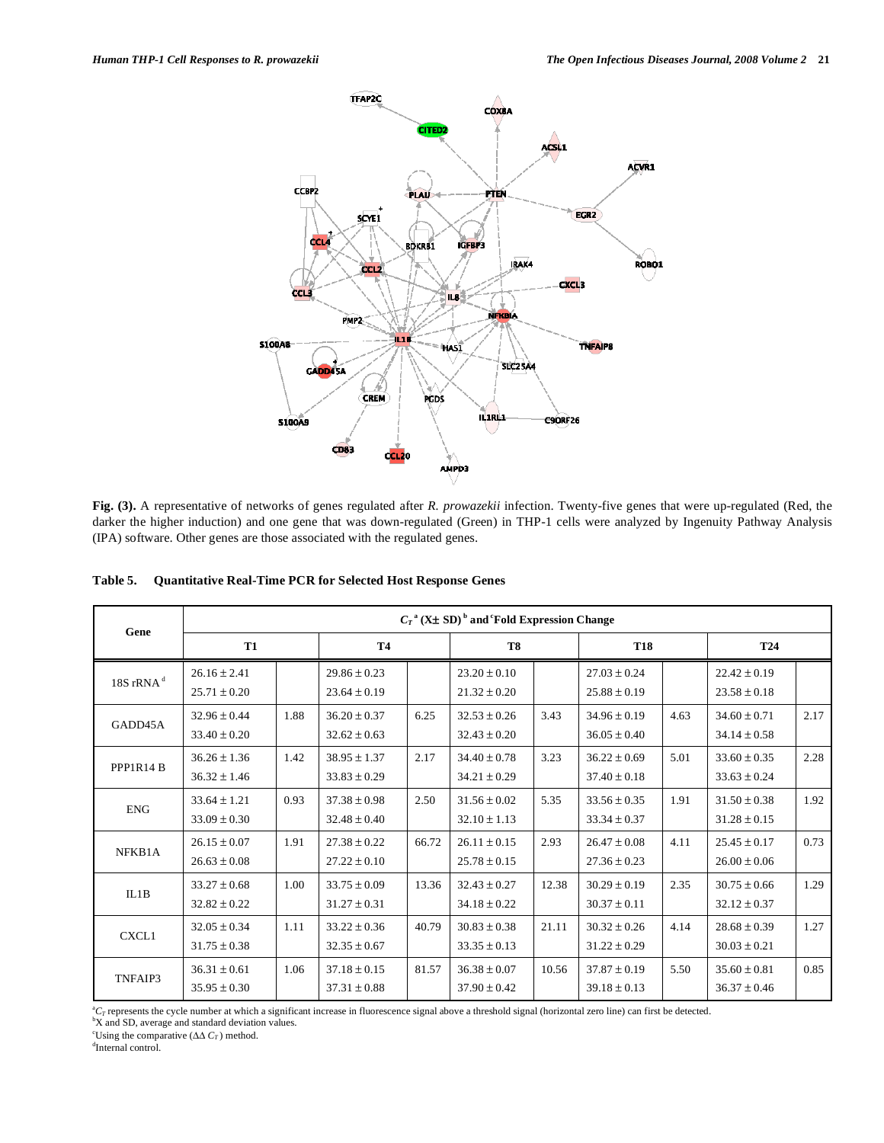

**Fig. (3).** A representative of networks of genes regulated after *R. prowazekii* infection. Twenty-five genes that were up-regulated (Red, the darker the higher induction) and one gene that was down-regulated (Green) in THP-1 cells were analyzed by Ingenuity Pathway Analysis (IPA) software. Other genes are those associated with the regulated genes.

|               | $C_T$ <sup>a</sup> (X $\pm$ SD) <sup>b</sup> and Fold Expression Change |      |                                      |       |                                      |       |                                      |      |                                      |      |
|---------------|-------------------------------------------------------------------------|------|--------------------------------------|-------|--------------------------------------|-------|--------------------------------------|------|--------------------------------------|------|
| Gene          | <b>T1</b>                                                               |      | <b>T4</b>                            |       | T8                                   |       | <b>T18</b>                           |      | <b>T24</b>                           |      |
| 18S rRNA $^d$ | $26.16 \pm 2.41$<br>$25.71 \pm 0.20$                                    |      | $29.86 \pm 0.23$<br>$23.64 \pm 0.19$ |       | $23.20 \pm 0.10$<br>$21.32 \pm 0.20$ |       | $27.03 \pm 0.24$<br>$25.88 \pm 0.19$ |      | $22.42 \pm 0.19$<br>$23.58 \pm 0.18$ |      |
| GADD45A       | $32.96 \pm 0.44$<br>$33.40 \pm 0.20$                                    | 1.88 | $36.20 \pm 0.37$<br>$32.62 \pm 0.63$ | 6.25  | $32.53 \pm 0.26$<br>$32.43 \pm 0.20$ | 3.43  | $34.96 \pm 0.19$<br>$36.05 \pm 0.40$ | 4.63 | $34.60 \pm 0.71$<br>$34.14 \pm 0.58$ | 2.17 |
| PPP1R14 B     | $36.26 \pm 1.36$<br>$36.32 \pm 1.46$                                    | 1.42 | $38.95 \pm 1.37$<br>$33.83 \pm 0.29$ | 2.17  | $34.40 \pm 0.78$<br>$34.21 \pm 0.29$ | 3.23  | $36.22 \pm 0.69$<br>$37.40 \pm 0.18$ | 5.01 | $33.60 \pm 0.35$<br>$33.63 \pm 0.24$ | 2.28 |
| <b>ENG</b>    | $33.64 \pm 1.21$<br>$33.09 \pm 0.30$                                    | 0.93 | $37.38 \pm 0.98$<br>$32.48 \pm 0.40$ | 2.50  | $31.56 \pm 0.02$<br>$32.10 \pm 1.13$ | 5.35  | $33.56 \pm 0.35$<br>$33.34 \pm 0.37$ | 1.91 | $31.50 \pm 0.38$<br>$31.28 \pm 0.15$ | 1.92 |
| NFKB1A        | $26.15 \pm 0.07$<br>$26.63 \pm 0.08$                                    | 1.91 | $27.38 \pm 0.22$<br>$27.22 \pm 0.10$ | 66.72 | $26.11 \pm 0.15$<br>$25.78 \pm 0.15$ | 2.93  | $26.47 \pm 0.08$<br>$27.36 \pm 0.23$ | 4.11 | $25.45 \pm 0.17$<br>$26.00 \pm 0.06$ | 0.73 |
| IL1B          | $33.27 \pm 0.68$<br>$32.82 \pm 0.22$                                    | 1.00 | $33.75 \pm 0.09$<br>$31.27 \pm 0.31$ | 13.36 | $32.43 \pm 0.27$<br>$34.18 \pm 0.22$ | 12.38 | $30.29 \pm 0.19$<br>$30.37 \pm 0.11$ | 2.35 | $30.75 \pm 0.66$<br>$32.12 \pm 0.37$ | 1.29 |
| CXCL1         | $32.05 \pm 0.34$<br>$31.75 \pm 0.38$                                    | 1.11 | $33.22 \pm 0.36$<br>$32.35 \pm 0.67$ | 40.79 | $30.83 \pm 0.38$<br>$33.35 \pm 0.13$ | 21.11 | $30.32 \pm 0.26$<br>$31.22 \pm 0.29$ | 4.14 | $28.68 \pm 0.39$<br>$30.03 \pm 0.21$ | 1.27 |
| TNFAIP3       | $36.31 \pm 0.61$<br>$35.95 \pm 0.30$                                    | 1.06 | $37.18 \pm 0.15$<br>$37.31 \pm 0.88$ | 81.57 | $36.38 \pm 0.07$<br>$37.90 \pm 0.42$ | 10.56 | $37.87 \pm 0.19$<br>$39.18 \pm 0.13$ | 5.50 | $35.60 \pm 0.81$<br>$36.37 \pm 0.46$ | 0.85 |

**Table 5. Quantitative Real-Time PCR for Selected Host Response Genes** 

 ${}^aC_T$  represents the cycle number at which a significant increase in fluorescence signal above a threshold signal (horizontal zero line) can first be detected.

X and SD, average and standard deviation values.

<sup>c</sup>Using the comparative  $(\Delta \Delta C_T)$  method.

<sup>d</sup>Internal control.